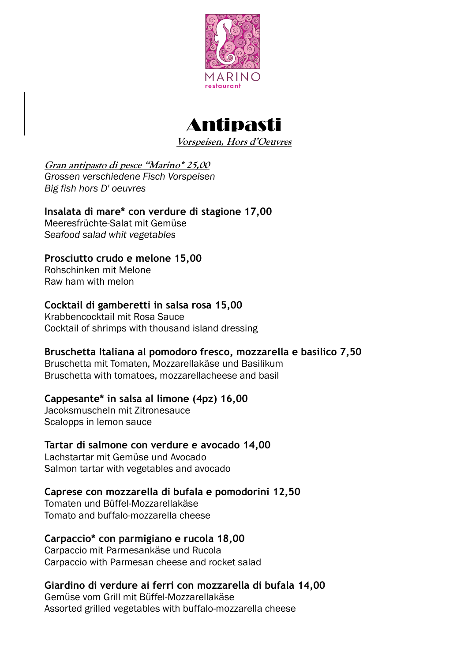



**Vorspeisen, Hors d'Oeuvres**

# **Gran antipasto di pesce "Marino\* 25,00**

*Grossen verschiedene Fisch Vorspeisen Big fish hors D' oeuvres*

# **Insalata di mare\* con verdure di stagione 17,00**

Meeresfrüchte-Salat mit Gemüse *Seafood salad whit vegetables*

# **Prosciutto crudo e melone 15,00**

Rohschinken mit Melone Raw ham with melon

# **Cocktail di gamberetti in salsa rosa 15,00**

Krabbencocktail mit Rosa Sauce Cocktail of shrimps with thousand island dressing

# **Bruschetta Italiana al pomodoro fresco, mozzarella e basilico 7,50**

Bruschetta mit Tomaten, Mozzarellakäse und Basilikum Bruschetta with tomatoes, mozzarellacheese and basil

# **Cappesante\* in salsa al limone (4pz) 16,00**

Jacoksmuscheln mit Zitronesauce Scalopps in lemon sauce

# **Tartar di salmone con verdure e avocado 14,00**

Lachstartar mit Gemüse und Avocado Salmon tartar with vegetables and avocado

# **Caprese con mozzarella di bufala e pomodorini 12,50**

Tomaten und Büffel-Mozzarellakäse Tomato and buffalo-mozzarella cheese

# **Carpaccio\* con parmigiano e rucola 18,00**

Carpaccio mit Parmesankäse und Rucola Carpaccio with Parmesan cheese and rocket salad

# **Giardino di verdure ai ferri con mozzarella di bufala 14,00**

Gemüse vom Grill mit Büffel-Mozzarellakäse Assorted grilled vegetables with buffalo-mozzarella cheese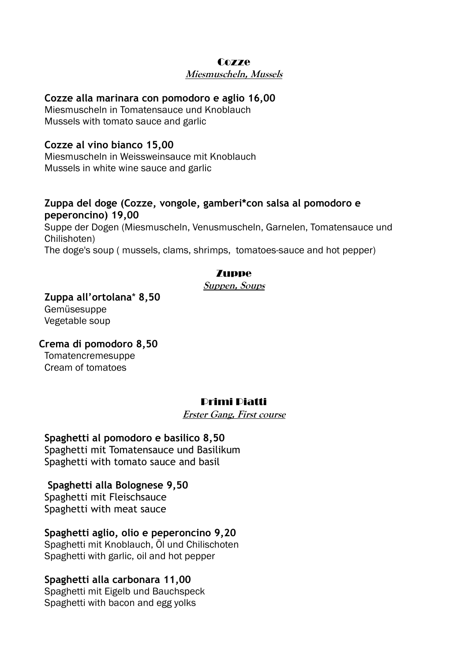#### **Cozze**

#### **Miesmuscheln, Mussels**

#### **Cozze alla marinara con pomodoro e aglio 16,00**

Miesmuscheln in Tomatensauce und Knoblauch Mussels with tomato sauce and garlic

### **Cozze al vino bianco 15,00**

Miesmuscheln in Weissweinsauce mit Knoblauch Mussels in white wine sauce and garlic

### **Zuppa del doge (Cozze, vongole, gamberi\*con salsa al pomodoro e peperoncino) 19,00**

Suppe der Dogen (Miesmuscheln, Venusmuscheln, Garnelen, Tomatensauce und Chilishoten) The doge's soup ( mussels, clams, shrimps, tomatoes-sauce and hot pepper)

### Zuppe

#### **Suppen, Soups**

**Zuppa all'ortolana**\* **8,50** Gemüsesuppe Vegetable soup

**Crema di pomodoro 8,50** Tomatencremesuppe Cream of tomatoes

# Primi Piatti

**Erster Gang, First course**

**Spaghetti al pomodoro e basilico 8,50** Spaghetti mit Tomatensauce und Basilikum Spaghetti with tomato sauce and basil

**Spaghetti alla Bolognese 9,50** Spaghetti mit Fleischsauce Spaghetti with meat sauce

**Spaghetti aglio, olio e peperoncino 9,20** Spaghetti mit Knoblauch, Öl und Chilischoten Spaghetti with garlic, oil and hot pepper

### **Spaghetti alla carbonara 11,00**

Spaghetti mit Eigelb und Bauchspeck Spaghetti with bacon and egg yolks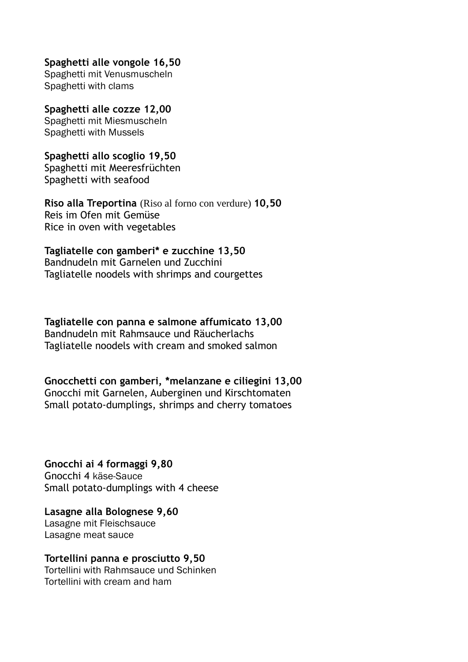### **Spaghetti alle vongole 16,50**

Spaghetti mit Venusmuscheln Spaghetti with clams

### **Spaghetti alle cozze 12,00**

Spaghetti mit Miesmuscheln Spaghetti with Mussels

### **Spaghetti allo scoglio 19,50**

Spaghetti mit Meeresfrüchten Spaghetti with seafood

**Riso alla Treportina** (Riso al forno con verdure) **10,50** Reis im Ofen mit Gemüse Rice in oven with vegetables

### **Tagliatelle con gamberi\* e zucchine 13,50**

Bandnudeln mit Garnelen und Zucchini Tagliatelle noodels with shrimps and courgettes

#### **Tagliatelle con panna e salmone affumicato 13,00** Bandnudeln mit Rahmsauce und Räucherlachs Tagliatelle noodels with cream and smoked salmon

# **Gnocchetti con gamberi, \*melanzane e ciliegini 13,00**

Gnocchi mit Garnelen, Auberginen und Kirschtomaten Small potato-dumplings, shrimps and cherry tomatoes

**Gnocchi ai 4 formaggi 9,80** Gnocchi 4 käse-Sauce Small potato-dumplings with 4 cheese

**Lasagne alla Bolognese 9,60** Lasagne mit Fleischsauce Lasagne meat sauce

# **Tortellini panna e prosciutto 9,50**

Tortellini with Rahmsauce und Schinken Tortellini with cream and ham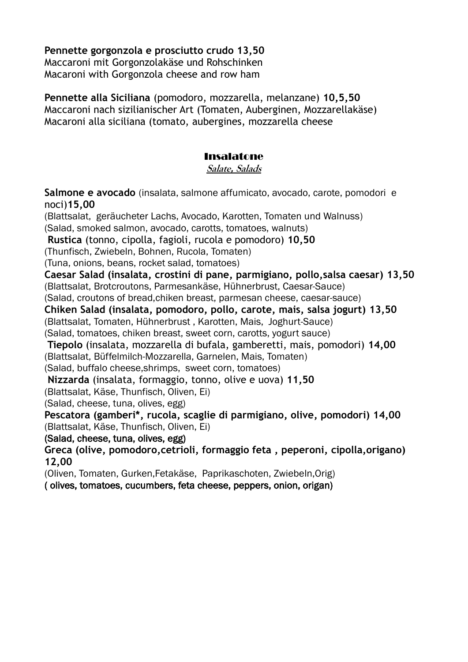**Pennette gorgonzola e prosciutto crudo 13,50** Maccaroni mit Gorgonzolakäse und Rohschinken Macaroni with Gorgonzola cheese and row ham

**Pennette alla Siciliana** (pomodoro, mozzarella, melanzane) **10,5,50** Maccaroni nach sizilianischer Art (Tomaten, Auberginen, Mozzarellakäse) Macaroni alla siciliana (tomato, aubergines, mozzarella cheese

### Insalatone

**Salate, Salads**

**Salmone e avocado** (insalata, salmone affumicato, avocado, carote, pomodori e noci)**15,00** (Blattsalat, geräucheter Lachs, Avocado, Karotten, Tomaten und Walnuss)

(Salad, smoked salmon, avocado, carotts, tomatoes, walnuts)

**Rustica** (tonno, cipolla, fagioli, rucola e pomodoro) **10,50**

(Thunfisch, Zwiebeln, Bohnen, Rucola, Tomaten)

(Tuna, onions, beans, rocket salad, tomatoes)

**Caesar Salad (insalata, crostini di pane, parmigiano, pollo,salsa caesar) 13,50**

(Blattsalat, Brotcroutons, Parmesankäse, Hühnerbrust, Caesar-Sauce)

(Salad, croutons of bread,chiken breast, parmesan cheese, caesar-sauce)

**Chiken Salad (insalata, pomodoro, pollo, carote, mais, salsa jogurt) 13,50**

(Blattsalat, Tomaten, Hühnerbrust , Karotten, Mais, Joghurt-Sauce)

(Salad, tomatoes, chiken breast, sweet corn, carotts, yogurt sauce)

**Tiepolo** (insalata, mozzarella di bufala, gamberetti, mais, pomodori) **14,00** (Blattsalat, Büffelmilch-Mozzarella, Garnelen, Mais, Tomaten)

(Salad, buffalo cheese,shrimps, sweet corn, tomatoes)

**Nizzarda** (insalata, formaggio, tonno, olive e uova) **11,50**

(Blattsalat, Käse, Thunfisch, Oliven, Ei)

(Salad, cheese, tuna, olives, egg)

**Pescatora (gamberi\*, rucola, scaglie di parmigiano, olive, pomodori) 14,00** (Blattsalat, Käse, Thunfisch, Oliven, Ei)

(Salad, cheese, tuna, olives, egg)

**Greca (olive, pomodoro,cetrioli, formaggio feta , peperoni, cipolla,origano) 12,00**

(Oliven, Tomaten, Gurken,Fetakäse, Paprikaschoten, Zwiebeln,Orig)

( olives, tomatoes, cucumbers, feta cheese, peppers, onion, origan)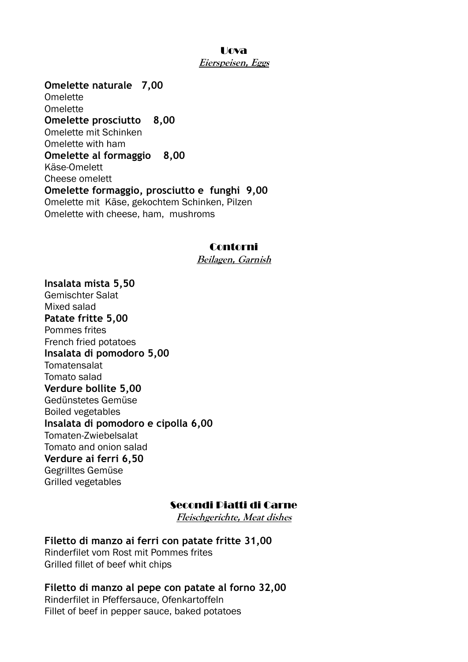### Uova **Eierspeisen, Eggs**

**Omelette naturale 7,00** Omelette Omelette **Omelette prosciutto 8,00** Omelette mit Schinken Omelette with ham **Omelette al formaggio 8,00** Käse-Omelett Cheese omelett **Omelette formaggio, prosciutto e funghi 9,00** Omelette mit Käse, gekochtem Schinken, Pilzen Omelette with cheese, ham, mushroms

### Contorni

**Beilagen, Garnish**

**Insalata mista 5,50** Gemischter Salat Mixed salad **Patate fritte 5,00** Pommes frites French fried potatoes **Insalata di pomodoro 5,00 Tomatensalat** Tomato salad **Verdure bollite 5,00** Gedünstetes Gemüse Boiled vegetables **Insalata di pomodoro e cipolla 6,00** Tomaten-Zwiebelsalat Tomato and onion salad **Verdure ai ferri 6,50** Gegrilltes Gemüse Grilled vegetables

# Secondi Piatti di Carne

**Fleischgerichte, Meat dishes**

**Filetto di manzo ai ferri con patate fritte 31,00** Rinderfilet vom Rost mit Pommes frites Grilled fillet of beef whit chips

**Filetto di manzo al pepe con patate al forno 32,00** Rinderfilet in Pfeffersauce, Ofenkartoffeln Fillet of beef in pepper sauce, baked potatoes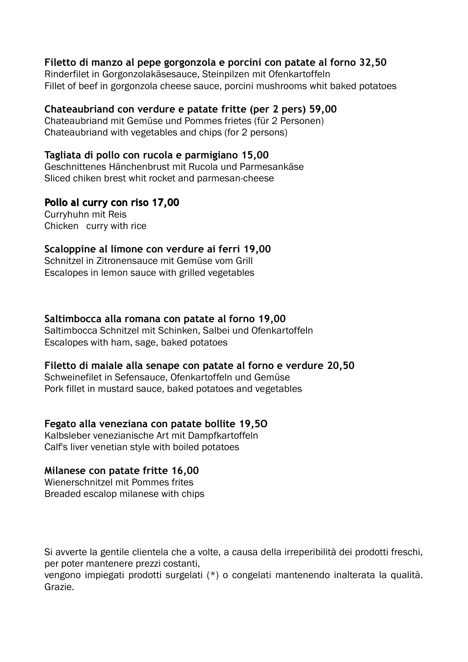### **Filetto di manzo al pepe gorgonzola e porcini con patate al forno 32,50**

Rinderfilet in Gorgonzolakäsesauce, Steinpilzen mit Ofenkartoffeln Fillet of beef in gorgonzola cheese sauce, porcini mushrooms whit baked potatoes

# **Chateaubriand con verdure e patate fritte (per 2 pers) 59,00**

Chateaubriand mit Gemüse und Pommes frietes (für 2 Personen) Chateaubriand with vegetables and chips (for 2 persons)

### **Tagliata di pollo con rucola e parmigiano 15,00**

Geschnittenes Hänchenbrust mit Rucola und Parmesankäse Sliced chiken brest whit rocket and parmesan-cheese

# **Pollo al curry con riso 17,00**

Curryhuhn mit Reis Chicken curry with rice

### **Scaloppine al limone con verdure ai ferri 19,00**

Schnitzel in Zitronensauce mit Gemüse vom Grill Escalopes in lemon sauce with grilled vegetables

### **Saltimbocca alla romana con patate al forno 19,00**

Saltimbocca Schnitzel mit Schinken, Salbei und Ofenkartoffeln Escalopes with ham, sage, baked potatoes

### **Filetto di maiale alla senape con patate al forno e verdure 20,50**

Schweinefilet in Sefensauce, Ofenkartoffeln und Gemüse Pork fillet in mustard sauce, baked potatoes and vegetables

# **Fegato alla veneziana con patate bollite 19,5O**

Kalbsleber venezianische Art mit Dampfkartoffeln Calf's liver venetian style with boiled potatoes

### **Milanese con patate fritte 16,00**

Wienerschnitzel mit Pommes frites Breaded escalop milanese with chips

Si avverte la gentile clientela che a volte, a causa della irreperibilità dei prodotti freschi, per poter mantenere prezzi costanti,

vengono impiegati prodotti surgelati (\*) o congelati mantenendo inalterata la qualità. Grazie.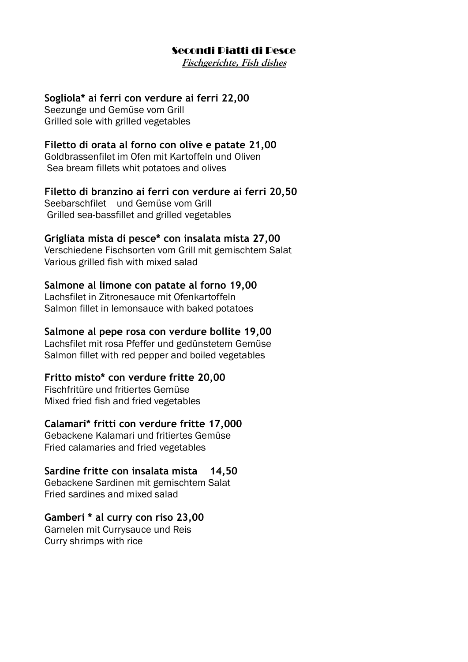### Secondi Piatti di Pesce

**Fischgerichte, Fish dishes**

### **Sogliola\* ai ferri con verdure ai ferri 22,00**

Seezunge und Gemüse vom Grill Grilled sole with grilled vegetables

### **Filetto di orata al forno con olive e patate 21,00**

Goldbrassenfilet im Ofen mit Kartoffeln und Oliven Sea bream fillets whit potatoes and olives

#### **Filetto di branzino ai ferri con verdure ai ferri 20,50**

Seebarschfilet und Gemüse vom Grill Grilled sea-bassfillet and grilled vegetables

#### **Grigliata mista di pesce\* con insalata mista 27,00**

Verschiedene Fischsorten vom Grill mit gemischtem Salat Various grilled fish with mixed salad

#### **Salmone al limone con patate al forno 19,00**

Lachsfilet in Zitronesauce mit Ofenkartoffeln Salmon fillet in lemonsauce with baked potatoes

#### **Salmone al pepe rosa con verdure bollite 19,00**

Lachsfilet mit rosa Pfeffer und gedünstetem Gemüse Salmon fillet with red pepper and boiled vegetables

### **Fritto misto\* con verdure fritte 20,00**

Fischfritüre und fritiertes Gemüse Mixed fried fish and fried vegetables

#### **Calamari\* fritti con verdure fritte 17,000**

Gebackene Kalamari und fritiertes Gemüse Fried calamaries and fried vegetables

#### **Sardine fritte con insalata mista 14,50**

Gebackene Sardinen mit gemischtem Salat Fried sardines and mixed salad

#### **Gamberi \* al curry con riso 23,00**

Garnelen mit Currysauce und Reis Curry shrimps with rice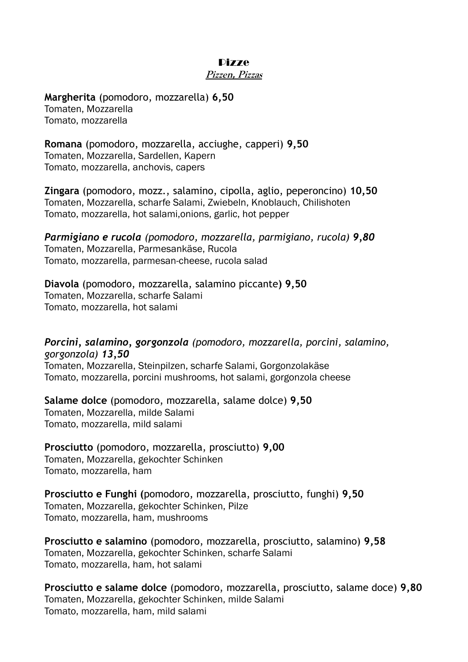#### Pizze

#### **Pizzen, Pizzas**

**Margherita** (pomodoro, mozzarella) **6,50** Tomaten, Mozzarella Tomato, mozzarella

**Romana** (pomodoro, mozzarella, acciughe, capperi) **9,50** Tomaten, Mozzarella, Sardellen, Kapern Tomato, mozzarella, anchovis, capers

**Zingara** (pomodoro, mozz., salamino, cipolla, aglio, peperoncino) **10,50** Tomaten, Mozzarella, scharfe Salami, Zwiebeln, Knoblauch, Chilishoten Tomato, mozzarella, hot salami,onions, garlic, hot pepper

*Parmigiano e rucola (pomodoro, mozzarella, parmigiano, rucola) 9,80* Tomaten, Mozzarella, Parmesankäse, Rucola Tomato, mozzarella, parmesan-cheese, rucola salad

**Diavola** (pomodoro, mozzarella, salamino piccante**) 9,50** Tomaten, Mozzarella, scharfe Salami Tomato, mozzarella, hot salami

*Porcini, salamino, gorgonzola (pomodoro, mozzarella, porcini, salamino, gorgonzola) 13,50*

Tomaten, Mozzarella, Steinpilzen, scharfe Salami, Gorgonzolakäse Tomato, mozzarella, porcini mushrooms, hot salami, gorgonzola cheese

**Salame dolce** (pomodoro, mozzarella, salame dolce) **9,50** Tomaten, Mozzarella, milde Salami Tomato, mozzarella, mild salami

**Prosciutto** (pomodoro, mozzarella, prosciutto) **9,00** Tomaten, Mozzarella, gekochter Schinken Tomato, mozzarella, ham

**Prosciutto e Funghi (**pomodoro, mozzarella, prosciutto, funghi) **9,50** Tomaten, Mozzarella, gekochter Schinken, Pilze Tomato, mozzarella, ham, mushrooms

**Prosciutto e salamino** (pomodoro, mozzarella, prosciutto, salamino) **9,58** Tomaten, Mozzarella, gekochter Schinken, scharfe Salami Tomato, mozzarella, ham, hot salami

**Prosciutto e salame dolce** (pomodoro, mozzarella, prosciutto, salame doce) **9,80** Tomaten, Mozzarella, gekochter Schinken, milde Salami Tomato, mozzarella, ham, mild salami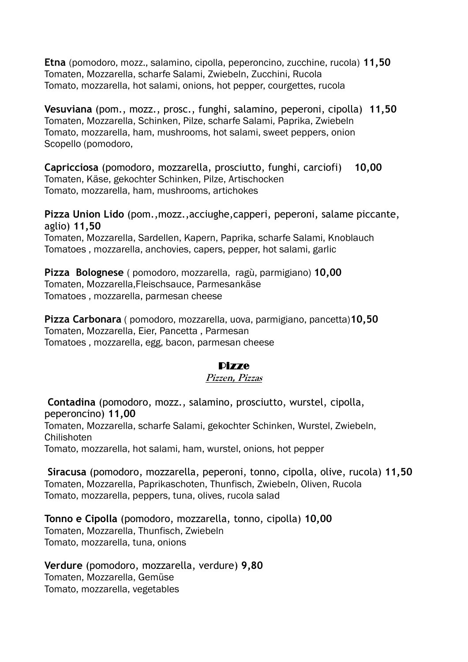**Etna** (pomodoro, mozz., salamino, cipolla, peperoncino, zucchine, rucola) **11,50** Tomaten, Mozzarella, scharfe Salami, Zwiebeln, Zucchini, Rucola Tomato, mozzarella, hot salami, onions, hot pepper, courgettes, rucola

**Vesuviana** (pom., mozz., prosc., funghi, salamino, peperoni, cipolla) **11,50** Tomaten, Mozzarella, Schinken, Pilze, scharfe Salami, Paprika, Zwiebeln Tomato, mozzarella, ham, mushrooms, hot salami, sweet peppers, onion Scopello (pomodoro,

**Capricciosa** (pomodoro, mozzarella, prosciutto, funghi, carciofi) **10,00** Tomaten, Käse, gekochter Schinken, Pilze, Artischocken Tomato, mozzarella, ham, mushrooms, artichokes

**Pizza Union Lido** (pom.,mozz.,acciughe,capperi, peperoni, salame piccante, aglio) **11,50**

Tomaten, Mozzarella, Sardellen, Kapern, Paprika, scharfe Salami, Knoblauch Tomatoes , mozzarella, anchovies, capers, pepper, hot salami, garlic

**Pizza Bolognese** ( pomodoro, mozzarella, ragù, parmigiano) **10,00** Tomaten, Mozzarella,Fleischsauce, Parmesankäse Tomatoes , mozzarella, parmesan cheese

**Pizza Carbonara** ( pomodoro, mozzarella, uova, parmigiano, pancetta)**10,50** Tomaten, Mozzarella, Eier, Pancetta , Parmesan Tomatoes , mozzarella, egg, bacon, parmesan cheese

# Pizze

### **Pizzen, Pizzas**

**Contadina** (pomodoro, mozz., salamino, prosciutto, wurstel, cipolla, peperoncino) **11,00** Tomaten, Mozzarella, scharfe Salami, gekochter Schinken, Wurstel, Zwiebeln, **Chilishoten** Tomato, mozzarella, hot salami, ham, wurstel, onions, hot pepper

**Siracusa** (pomodoro, mozzarella, peperoni, tonno, cipolla, olive, rucola) **11,50** Tomaten, Mozzarella, Paprikaschoten, Thunfisch, Zwiebeln, Oliven, Rucola Tomato, mozzarella, peppers, tuna, olives, rucola salad

**Tonno e Cipolla** (pomodoro, mozzarella, tonno, cipolla) **10,00** Tomaten, Mozzarella, Thunfisch, Zwiebeln Tomato, mozzarella, tuna, onions

**Verdure** (pomodoro, mozzarella, verdure) **9,80** Tomaten, Mozzarella, Gemüse Tomato, mozzarella, vegetables